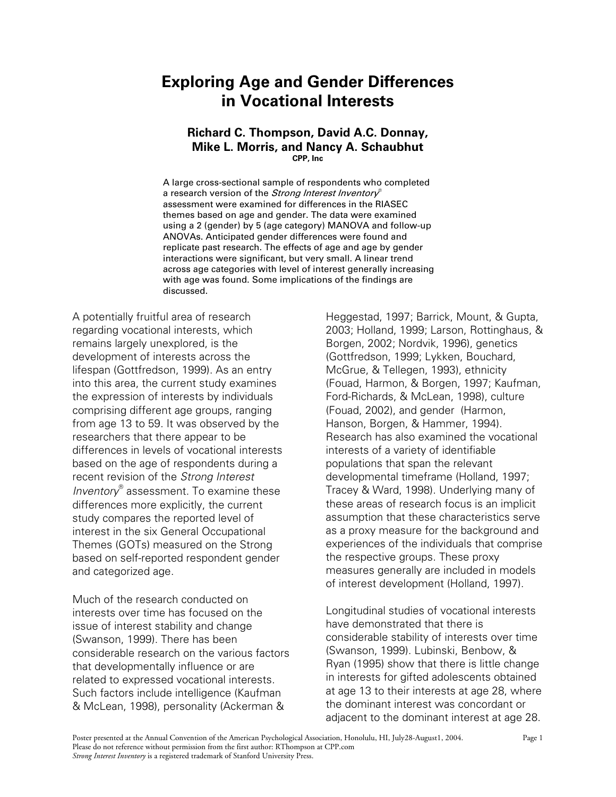# **Exploring Age and Gender Differences in Vocational Interests**

#### **Richard C. Thompson, David A.C. Donnay, Mike L. Morris, and Nancy A. Schaubhut CPP, Inc**

A large cross-sectional sample of respondents who completed a research version of the *Strong Interest Inventory*® assessment were examined for differences in the RIASEC themes based on age and gender. The data were examined using a 2 (gender) by 5 (age category) MANOVA and follow-up ANOVAs. Anticipated gender differences were found and replicate past research. The effects of age and age by gender interactions were significant, but very small. A linear trend across age categories with level of interest generally increasing with age was found. Some implications of the findings are discussed.

A potentially fruitful area of research regarding vocational interests, which remains largely unexplored, is the development of interests across the lifespan (Gottfredson, 1999). As an entry into this area, the current study examines the expression of interests by individuals comprising different age groups, ranging from age 13 to 59. It was observed by the researchers that there appear to be differences in levels of vocational interests based on the age of respondents during a recent revision of the *Strong Interest Inventory*® assessment. To examine these differences more explicitly, the current study compares the reported level of interest in the six General Occupational Themes (GOTs) measured on the Strong based on self-reported respondent gender and categorized age.

Much of the research conducted on interests over time has focused on the issue of interest stability and change (Swanson, 1999). There has been considerable research on the various factors that developmentally influence or are related to expressed vocational interests. Such factors include intelligence (Kaufman & McLean, 1998), personality (Ackerman &

Heggestad, 1997; Barrick, Mount, & Gupta, 2003; Holland, 1999; Larson, Rottinghaus, & Borgen, 2002; Nordvik, 1996), genetics (Gottfredson, 1999; Lykken, Bouchard, McGrue, & Tellegen, 1993), ethnicity (Fouad, Harmon, & Borgen, 1997; Kaufman, Ford-Richards, & McLean, 1998), culture (Fouad, 2002), and gender (Harmon, Hanson, Borgen, & Hammer, 1994). Research has also examined the vocational interests of a variety of identifiable populations that span the relevant developmental timeframe (Holland, 1997; Tracey & Ward, 1998). Underlying many of these areas of research focus is an implicit assumption that these characteristics serve as a proxy measure for the background and experiences of the individuals that comprise the respective groups. These proxy measures generally are included in models of interest development (Holland, 1997).

Longitudinal studies of vocational interests have demonstrated that there is considerable stability of interests over time (Swanson, 1999). Lubinski, Benbow, & Ryan (1995) show that there is little change in interests for gifted adolescents obtained at age 13 to their interests at age 28, where the dominant interest was concordant or adjacent to the dominant interest at age 28.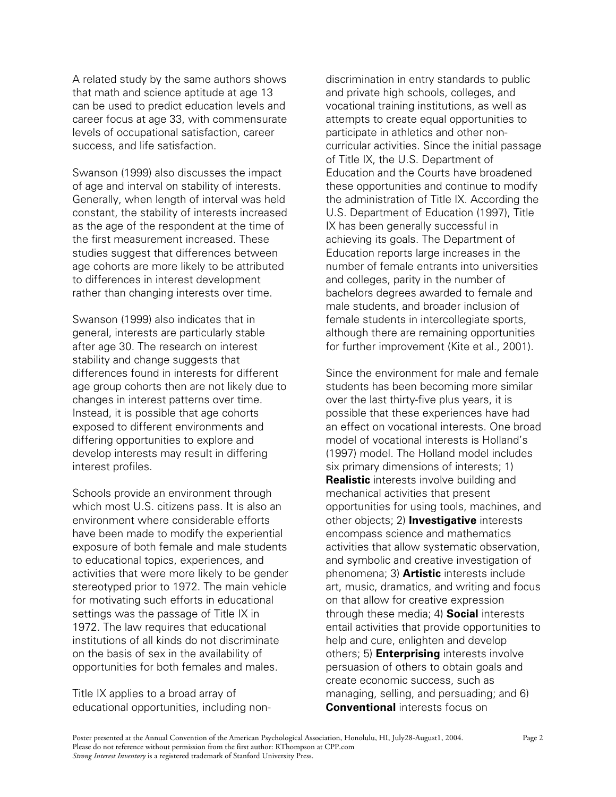A related study by the same authors shows that math and science aptitude at age 13 can be used to predict education levels and career focus at age 33, with commensurate levels of occupational satisfaction, career success, and life satisfaction.

Swanson (1999) also discusses the impact of age and interval on stability of interests. Generally, when length of interval was held constant, the stability of interests increased as the age of the respondent at the time of the first measurement increased. These studies suggest that differences between age cohorts are more likely to be attributed to differences in interest development rather than changing interests over time.

Swanson (1999) also indicates that in general, interests are particularly stable after age 30. The research on interest stability and change suggests that differences found in interests for different age group cohorts then are not likely due to changes in interest patterns over time. Instead, it is possible that age cohorts exposed to different environments and differing opportunities to explore and develop interests may result in differing interest profiles.

Schools provide an environment through which most U.S. citizens pass. It is also an environment where considerable efforts have been made to modify the experiential exposure of both female and male students to educational topics, experiences, and activities that were more likely to be gender stereotyped prior to 1972. The main vehicle for motivating such efforts in educational settings was the passage of Title IX in 1972. The law requires that educational institutions of all kinds do not discriminate on the basis of sex in the availability of opportunities for both females and males.

Title IX applies to a broad array of educational opportunities, including nondiscrimination in entry standards to public and private high schools, colleges, and vocational training institutions, as well as attempts to create equal opportunities to participate in athletics and other noncurricular activities. Since the initial passage of Title IX, the U.S. Department of Education and the Courts have broadened these opportunities and continue to modify the administration of Title IX. According the U.S. Department of Education (1997), Title IX has been generally successful in achieving its goals. The Department of Education reports large increases in the number of female entrants into universities and colleges, parity in the number of bachelors degrees awarded to female and male students, and broader inclusion of female students in intercollegiate sports, although there are remaining opportunities for further improvement (Kite et al., 2001).

Since the environment for male and female students has been becoming more similar over the last thirty-five plus years, it is possible that these experiences have had an effect on vocational interests. One broad model of vocational interests is Holland's (1997) model. The Holland model includes six primary dimensions of interests; 1) **Realistic** interests involve building and mechanical activities that present opportunities for using tools, machines, and other objects; 2) **Investigative** interests encompass science and mathematics activities that allow systematic observation, and symbolic and creative investigation of phenomena; 3) **Artistic** interests include art, music, dramatics, and writing and focus on that allow for creative expression through these media; 4) **Social** interests entail activities that provide opportunities to help and cure, enlighten and develop others; 5) **Enterprising** interests involve persuasion of others to obtain goals and create economic success, such as managing, selling, and persuading; and 6) **Conventional** interests focus on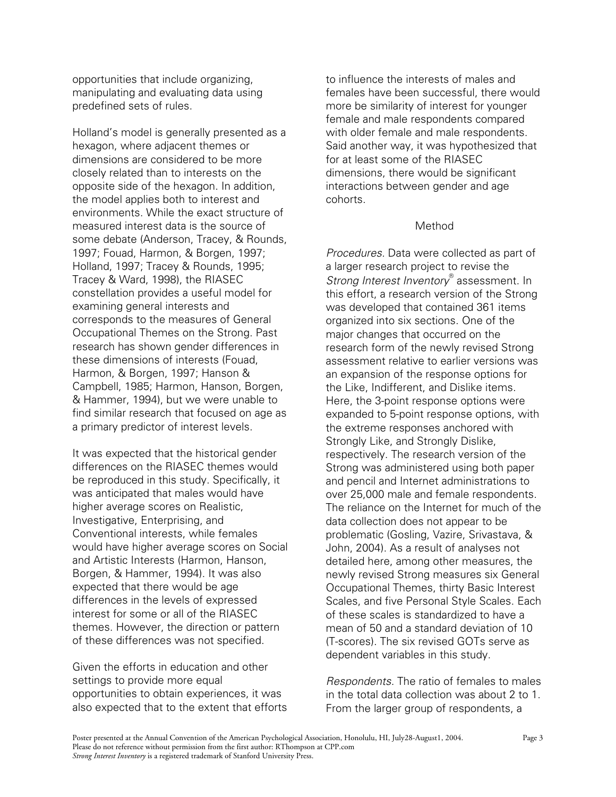opportunities that include organizing, manipulating and evaluating data using predefined sets of rules.

Holland's model is generally presented as a hexagon, where adjacent themes or dimensions are considered to be more closely related than to interests on the opposite side of the hexagon. In addition, the model applies both to interest and environments. While the exact structure of measured interest data is the source of some debate (Anderson, Tracey, & Rounds, 1997; Fouad, Harmon, & Borgen, 1997; Holland, 1997; Tracey & Rounds, 1995; Tracey & Ward, 1998), the RIASEC constellation provides a useful model for examining general interests and corresponds to the measures of General Occupational Themes on the Strong. Past research has shown gender differences in these dimensions of interests (Fouad, Harmon, & Borgen, 1997; Hanson & Campbell, 1985; Harmon, Hanson, Borgen, & Hammer, 1994), but we were unable to find similar research that focused on age as a primary predictor of interest levels.

It was expected that the historical gender differences on the RIASEC themes would be reproduced in this study. Specifically, it was anticipated that males would have higher average scores on Realistic, Investigative, Enterprising, and Conventional interests, while females would have higher average scores on Social and Artistic Interests (Harmon, Hanson, Borgen, & Hammer, 1994). It was also expected that there would be age differences in the levels of expressed interest for some or all of the RIASEC themes. However, the direction or pattern of these differences was not specified.

Given the efforts in education and other settings to provide more equal opportunities to obtain experiences, it was also expected that to the extent that efforts to influence the interests of males and females have been successful, there would more be similarity of interest for younger female and male respondents compared with older female and male respondents. Said another way, it was hypothesized that for at least some of the RIASEC dimensions, there would be significant interactions between gender and age cohorts.

#### Method

*Procedures.* Data were collected as part of a larger research project to revise the *Strong Interest Inventory*® assessment. In this effort, a research version of the Strong was developed that contained 361 items organized into six sections. One of the major changes that occurred on the research form of the newly revised Strong assessment relative to earlier versions was an expansion of the response options for the Like, Indifferent, and Dislike items. Here, the 3-point response options were expanded to 5-point response options, with the extreme responses anchored with Strongly Like, and Strongly Dislike, respectively. The research version of the Strong was administered using both paper and pencil and Internet administrations to over 25,000 male and female respondents. The reliance on the Internet for much of the data collection does not appear to be problematic (Gosling, Vazire, Srivastava, & John, 2004). As a result of analyses not detailed here, among other measures, the newly revised Strong measures six General Occupational Themes, thirty Basic Interest Scales, and five Personal Style Scales. Each of these scales is standardized to have a mean of 50 and a standard deviation of 10 (T-scores). The six revised GOTs serve as dependent variables in this study.

*Respondents.* The ratio of females to males in the total data collection was about 2 to 1. From the larger group of respondents, a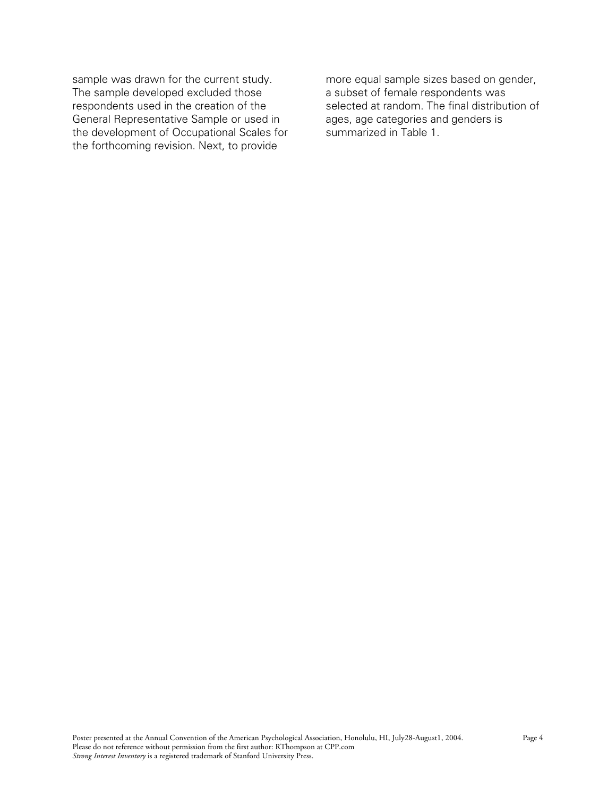sample was drawn for the current study. The sample developed excluded those respondents used in the creation of the General Representative Sample or used in the development of Occupational Scales for the forthcoming revision. Next, to provide

more equal sample sizes based on gender, a subset of female respondents was selected at random. The final distribution of ages, age categories and genders is summarized in Table 1.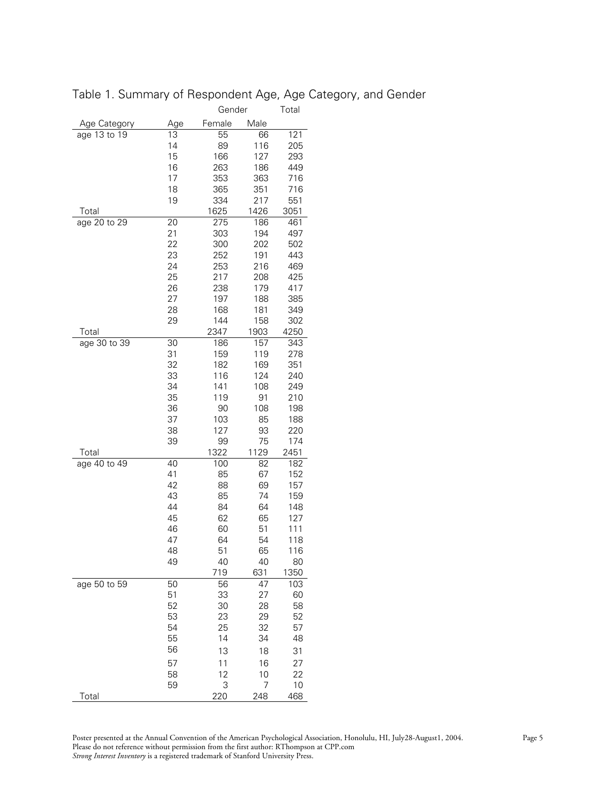| Female<br>Male<br>Age Category<br>Age<br>121<br>age 13 to 19<br>55<br>66<br>13<br>14<br>89<br>116<br>205<br>15<br>166<br>127<br>293<br>186<br>16<br>263<br>449<br>17<br>353<br>363<br>716<br>18<br>365<br>351<br>716<br>19<br>334<br>217<br>551<br>Total<br>1625<br>1426<br>3051<br>20<br>461<br>age 20 to 29<br>275<br>186<br>21<br>303<br>194<br>497<br>22<br>300<br>202<br>502<br>23<br>252<br>191<br>443<br>24<br>216<br>253<br>469<br>25<br>217<br>208<br>425<br>179<br>26<br>238<br>417<br>27<br>197<br>188<br>385<br>28<br>181<br>168<br>349<br>29<br>144<br>158<br>302<br>2347<br>Total<br>1903<br>4250<br>157<br>age 30 to 39<br>30<br>186<br>343<br>31<br>159<br>119<br>278<br>32<br>182<br>169<br>351<br>33<br>116<br>124<br>240<br>34<br>141<br>108<br>249<br>35<br>119<br>91<br>210<br>108<br>36<br>90<br>198<br>37<br>85<br>188<br>103<br>127<br>93<br>38<br>220<br>39<br>75<br>99<br>174<br>1129<br>Total<br>1322<br>2451<br>182<br>age 40 to 49<br>40<br>100<br>82<br>85<br>41<br>67<br>152<br>42<br>69<br>88<br>157<br>43<br>85<br>74<br>159<br>44<br>84<br>64<br>148<br>45<br>62<br>65<br>127<br>46<br>60<br>51<br>111<br>47<br>64<br>54<br>118<br>51<br>65<br>48<br>116<br>40<br>40<br>49<br>80<br>631<br>719<br>1350<br>age 50 to 59<br>50<br>56<br>47<br>103<br>51<br>33<br>27<br>60<br>52<br>30<br>58<br>28<br>53<br>23<br>29<br>52<br>54<br>25<br>32<br>57<br>55<br>14<br>34<br>48<br>56<br>13<br>18<br>31<br>57<br>27<br>11<br>16<br>58<br>12<br>10<br>22 |       | Gender | Total |     |
|-----------------------------------------------------------------------------------------------------------------------------------------------------------------------------------------------------------------------------------------------------------------------------------------------------------------------------------------------------------------------------------------------------------------------------------------------------------------------------------------------------------------------------------------------------------------------------------------------------------------------------------------------------------------------------------------------------------------------------------------------------------------------------------------------------------------------------------------------------------------------------------------------------------------------------------------------------------------------------------------------------------------------------------------------------------------------------------------------------------------------------------------------------------------------------------------------------------------------------------------------------------------------------------------------------------------------------------------------------------------------------------------------------------------------------------------------------------------------------------|-------|--------|-------|-----|
|                                                                                                                                                                                                                                                                                                                                                                                                                                                                                                                                                                                                                                                                                                                                                                                                                                                                                                                                                                                                                                                                                                                                                                                                                                                                                                                                                                                                                                                                                   |       |        |       |     |
|                                                                                                                                                                                                                                                                                                                                                                                                                                                                                                                                                                                                                                                                                                                                                                                                                                                                                                                                                                                                                                                                                                                                                                                                                                                                                                                                                                                                                                                                                   |       |        |       |     |
|                                                                                                                                                                                                                                                                                                                                                                                                                                                                                                                                                                                                                                                                                                                                                                                                                                                                                                                                                                                                                                                                                                                                                                                                                                                                                                                                                                                                                                                                                   |       |        |       |     |
|                                                                                                                                                                                                                                                                                                                                                                                                                                                                                                                                                                                                                                                                                                                                                                                                                                                                                                                                                                                                                                                                                                                                                                                                                                                                                                                                                                                                                                                                                   |       |        |       |     |
|                                                                                                                                                                                                                                                                                                                                                                                                                                                                                                                                                                                                                                                                                                                                                                                                                                                                                                                                                                                                                                                                                                                                                                                                                                                                                                                                                                                                                                                                                   |       |        |       |     |
|                                                                                                                                                                                                                                                                                                                                                                                                                                                                                                                                                                                                                                                                                                                                                                                                                                                                                                                                                                                                                                                                                                                                                                                                                                                                                                                                                                                                                                                                                   |       |        |       |     |
|                                                                                                                                                                                                                                                                                                                                                                                                                                                                                                                                                                                                                                                                                                                                                                                                                                                                                                                                                                                                                                                                                                                                                                                                                                                                                                                                                                                                                                                                                   |       |        |       |     |
|                                                                                                                                                                                                                                                                                                                                                                                                                                                                                                                                                                                                                                                                                                                                                                                                                                                                                                                                                                                                                                                                                                                                                                                                                                                                                                                                                                                                                                                                                   |       |        |       |     |
|                                                                                                                                                                                                                                                                                                                                                                                                                                                                                                                                                                                                                                                                                                                                                                                                                                                                                                                                                                                                                                                                                                                                                                                                                                                                                                                                                                                                                                                                                   |       |        |       |     |
|                                                                                                                                                                                                                                                                                                                                                                                                                                                                                                                                                                                                                                                                                                                                                                                                                                                                                                                                                                                                                                                                                                                                                                                                                                                                                                                                                                                                                                                                                   |       |        |       |     |
|                                                                                                                                                                                                                                                                                                                                                                                                                                                                                                                                                                                                                                                                                                                                                                                                                                                                                                                                                                                                                                                                                                                                                                                                                                                                                                                                                                                                                                                                                   |       |        |       |     |
|                                                                                                                                                                                                                                                                                                                                                                                                                                                                                                                                                                                                                                                                                                                                                                                                                                                                                                                                                                                                                                                                                                                                                                                                                                                                                                                                                                                                                                                                                   |       |        |       |     |
|                                                                                                                                                                                                                                                                                                                                                                                                                                                                                                                                                                                                                                                                                                                                                                                                                                                                                                                                                                                                                                                                                                                                                                                                                                                                                                                                                                                                                                                                                   |       |        |       |     |
|                                                                                                                                                                                                                                                                                                                                                                                                                                                                                                                                                                                                                                                                                                                                                                                                                                                                                                                                                                                                                                                                                                                                                                                                                                                                                                                                                                                                                                                                                   |       |        |       |     |
|                                                                                                                                                                                                                                                                                                                                                                                                                                                                                                                                                                                                                                                                                                                                                                                                                                                                                                                                                                                                                                                                                                                                                                                                                                                                                                                                                                                                                                                                                   |       |        |       |     |
|                                                                                                                                                                                                                                                                                                                                                                                                                                                                                                                                                                                                                                                                                                                                                                                                                                                                                                                                                                                                                                                                                                                                                                                                                                                                                                                                                                                                                                                                                   |       |        |       |     |
|                                                                                                                                                                                                                                                                                                                                                                                                                                                                                                                                                                                                                                                                                                                                                                                                                                                                                                                                                                                                                                                                                                                                                                                                                                                                                                                                                                                                                                                                                   |       |        |       |     |
|                                                                                                                                                                                                                                                                                                                                                                                                                                                                                                                                                                                                                                                                                                                                                                                                                                                                                                                                                                                                                                                                                                                                                                                                                                                                                                                                                                                                                                                                                   |       |        |       |     |
|                                                                                                                                                                                                                                                                                                                                                                                                                                                                                                                                                                                                                                                                                                                                                                                                                                                                                                                                                                                                                                                                                                                                                                                                                                                                                                                                                                                                                                                                                   |       |        |       |     |
|                                                                                                                                                                                                                                                                                                                                                                                                                                                                                                                                                                                                                                                                                                                                                                                                                                                                                                                                                                                                                                                                                                                                                                                                                                                                                                                                                                                                                                                                                   |       |        |       |     |
|                                                                                                                                                                                                                                                                                                                                                                                                                                                                                                                                                                                                                                                                                                                                                                                                                                                                                                                                                                                                                                                                                                                                                                                                                                                                                                                                                                                                                                                                                   |       |        |       |     |
|                                                                                                                                                                                                                                                                                                                                                                                                                                                                                                                                                                                                                                                                                                                                                                                                                                                                                                                                                                                                                                                                                                                                                                                                                                                                                                                                                                                                                                                                                   |       |        |       |     |
|                                                                                                                                                                                                                                                                                                                                                                                                                                                                                                                                                                                                                                                                                                                                                                                                                                                                                                                                                                                                                                                                                                                                                                                                                                                                                                                                                                                                                                                                                   |       |        |       |     |
|                                                                                                                                                                                                                                                                                                                                                                                                                                                                                                                                                                                                                                                                                                                                                                                                                                                                                                                                                                                                                                                                                                                                                                                                                                                                                                                                                                                                                                                                                   |       |        |       |     |
|                                                                                                                                                                                                                                                                                                                                                                                                                                                                                                                                                                                                                                                                                                                                                                                                                                                                                                                                                                                                                                                                                                                                                                                                                                                                                                                                                                                                                                                                                   |       |        |       |     |
|                                                                                                                                                                                                                                                                                                                                                                                                                                                                                                                                                                                                                                                                                                                                                                                                                                                                                                                                                                                                                                                                                                                                                                                                                                                                                                                                                                                                                                                                                   |       |        |       |     |
|                                                                                                                                                                                                                                                                                                                                                                                                                                                                                                                                                                                                                                                                                                                                                                                                                                                                                                                                                                                                                                                                                                                                                                                                                                                                                                                                                                                                                                                                                   |       |        |       |     |
|                                                                                                                                                                                                                                                                                                                                                                                                                                                                                                                                                                                                                                                                                                                                                                                                                                                                                                                                                                                                                                                                                                                                                                                                                                                                                                                                                                                                                                                                                   |       |        |       |     |
|                                                                                                                                                                                                                                                                                                                                                                                                                                                                                                                                                                                                                                                                                                                                                                                                                                                                                                                                                                                                                                                                                                                                                                                                                                                                                                                                                                                                                                                                                   |       |        |       |     |
|                                                                                                                                                                                                                                                                                                                                                                                                                                                                                                                                                                                                                                                                                                                                                                                                                                                                                                                                                                                                                                                                                                                                                                                                                                                                                                                                                                                                                                                                                   |       |        |       |     |
|                                                                                                                                                                                                                                                                                                                                                                                                                                                                                                                                                                                                                                                                                                                                                                                                                                                                                                                                                                                                                                                                                                                                                                                                                                                                                                                                                                                                                                                                                   |       |        |       |     |
|                                                                                                                                                                                                                                                                                                                                                                                                                                                                                                                                                                                                                                                                                                                                                                                                                                                                                                                                                                                                                                                                                                                                                                                                                                                                                                                                                                                                                                                                                   |       |        |       |     |
|                                                                                                                                                                                                                                                                                                                                                                                                                                                                                                                                                                                                                                                                                                                                                                                                                                                                                                                                                                                                                                                                                                                                                                                                                                                                                                                                                                                                                                                                                   |       |        |       |     |
|                                                                                                                                                                                                                                                                                                                                                                                                                                                                                                                                                                                                                                                                                                                                                                                                                                                                                                                                                                                                                                                                                                                                                                                                                                                                                                                                                                                                                                                                                   |       |        |       |     |
|                                                                                                                                                                                                                                                                                                                                                                                                                                                                                                                                                                                                                                                                                                                                                                                                                                                                                                                                                                                                                                                                                                                                                                                                                                                                                                                                                                                                                                                                                   |       |        |       |     |
|                                                                                                                                                                                                                                                                                                                                                                                                                                                                                                                                                                                                                                                                                                                                                                                                                                                                                                                                                                                                                                                                                                                                                                                                                                                                                                                                                                                                                                                                                   |       |        |       |     |
|                                                                                                                                                                                                                                                                                                                                                                                                                                                                                                                                                                                                                                                                                                                                                                                                                                                                                                                                                                                                                                                                                                                                                                                                                                                                                                                                                                                                                                                                                   |       |        |       |     |
|                                                                                                                                                                                                                                                                                                                                                                                                                                                                                                                                                                                                                                                                                                                                                                                                                                                                                                                                                                                                                                                                                                                                                                                                                                                                                                                                                                                                                                                                                   |       |        |       |     |
|                                                                                                                                                                                                                                                                                                                                                                                                                                                                                                                                                                                                                                                                                                                                                                                                                                                                                                                                                                                                                                                                                                                                                                                                                                                                                                                                                                                                                                                                                   |       |        |       |     |
|                                                                                                                                                                                                                                                                                                                                                                                                                                                                                                                                                                                                                                                                                                                                                                                                                                                                                                                                                                                                                                                                                                                                                                                                                                                                                                                                                                                                                                                                                   |       |        |       |     |
|                                                                                                                                                                                                                                                                                                                                                                                                                                                                                                                                                                                                                                                                                                                                                                                                                                                                                                                                                                                                                                                                                                                                                                                                                                                                                                                                                                                                                                                                                   |       |        |       |     |
|                                                                                                                                                                                                                                                                                                                                                                                                                                                                                                                                                                                                                                                                                                                                                                                                                                                                                                                                                                                                                                                                                                                                                                                                                                                                                                                                                                                                                                                                                   |       |        |       |     |
|                                                                                                                                                                                                                                                                                                                                                                                                                                                                                                                                                                                                                                                                                                                                                                                                                                                                                                                                                                                                                                                                                                                                                                                                                                                                                                                                                                                                                                                                                   |       |        |       |     |
|                                                                                                                                                                                                                                                                                                                                                                                                                                                                                                                                                                                                                                                                                                                                                                                                                                                                                                                                                                                                                                                                                                                                                                                                                                                                                                                                                                                                                                                                                   |       |        |       |     |
|                                                                                                                                                                                                                                                                                                                                                                                                                                                                                                                                                                                                                                                                                                                                                                                                                                                                                                                                                                                                                                                                                                                                                                                                                                                                                                                                                                                                                                                                                   |       |        |       |     |
|                                                                                                                                                                                                                                                                                                                                                                                                                                                                                                                                                                                                                                                                                                                                                                                                                                                                                                                                                                                                                                                                                                                                                                                                                                                                                                                                                                                                                                                                                   |       |        |       |     |
|                                                                                                                                                                                                                                                                                                                                                                                                                                                                                                                                                                                                                                                                                                                                                                                                                                                                                                                                                                                                                                                                                                                                                                                                                                                                                                                                                                                                                                                                                   |       |        |       |     |
|                                                                                                                                                                                                                                                                                                                                                                                                                                                                                                                                                                                                                                                                                                                                                                                                                                                                                                                                                                                                                                                                                                                                                                                                                                                                                                                                                                                                                                                                                   |       |        |       |     |
| 59<br>3<br>10<br>7                                                                                                                                                                                                                                                                                                                                                                                                                                                                                                                                                                                                                                                                                                                                                                                                                                                                                                                                                                                                                                                                                                                                                                                                                                                                                                                                                                                                                                                                |       |        |       |     |
|                                                                                                                                                                                                                                                                                                                                                                                                                                                                                                                                                                                                                                                                                                                                                                                                                                                                                                                                                                                                                                                                                                                                                                                                                                                                                                                                                                                                                                                                                   | Total | 220    | 248   | 468 |

# Table 1. Summary of Respondent Age, Age Category, and Gender

Poster presented at the Annual Convention of the American Psychological Association, Honolulu, HI, July28-August1, 2004. Page 5 Please do not reference without permission from the first author: RThompson at CPP.com *Strong Interest Inventory* is a registered trademark of Stanford University Press.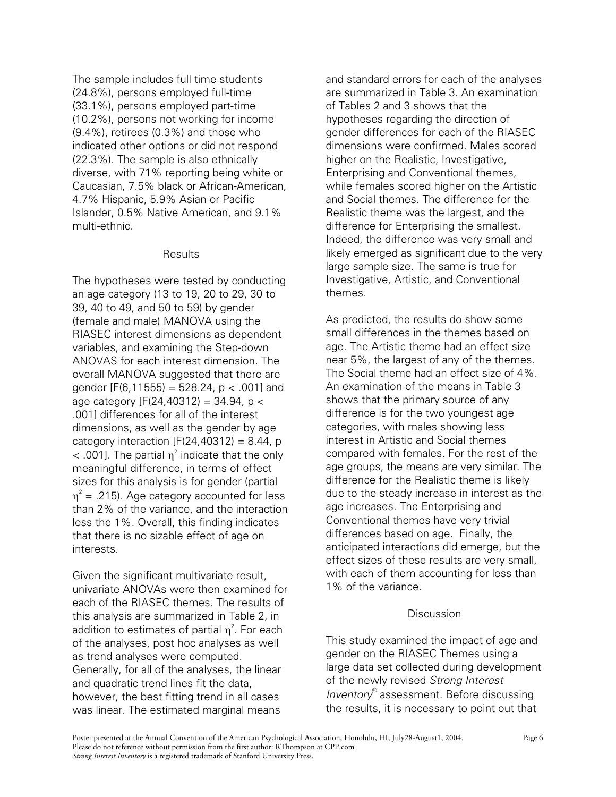The sample includes full time students (24.8%), persons employed full-time (33.1%), persons employed part-time (10.2%), persons not working for income (9.4%), retirees (0.3%) and those who indicated other options or did not respond (22.3%). The sample is also ethnically diverse, with 71% reporting being white or Caucasian, 7.5% black or African-American, 4.7% Hispanic, 5.9% Asian or Pacific Islander, 0.5% Native American, and 9.1% multi-ethnic.

#### **Results**

The hypotheses were tested by conducting an age category (13 to 19, 20 to 29, 30 to 39, 40 to 49, and 50 to 59) by gender (female and male) MANOVA using the RIASEC interest dimensions as dependent variables, and examining the Step-down ANOVAS for each interest dimension. The overall MANOVA suggested that there are gender  $[E(6, 11555) = 528.24, p < .001]$  and age category  $[ F(24, 40312) = 34.94, p <$ .001] differences for all of the interest dimensions, as well as the gender by age category interaction  $[E(24, 40312) = 8.44, p]$  $<$  .001]. The partial  $\eta^2$  indicate that the only meaningful difference, in terms of effect sizes for this analysis is for gender (partial  $\eta^2$  = .215). Age category accounted for less than 2% of the variance, and the interaction less the 1%. Overall, this finding indicates that there is no sizable effect of age on interests.

Given the significant multivariate result, univariate ANOVAs were then examined for each of the RIASEC themes. The results of this analysis are summarized in Table 2, in addition to estimates of partial  $\eta^2$ . For each of the analyses, post hoc analyses as well as trend analyses were computed. Generally, for all of the analyses, the linear and quadratic trend lines fit the data, however, the best fitting trend in all cases was linear. The estimated marginal means

and standard errors for each of the analyses are summarized in Table 3. An examination of Tables 2 and 3 shows that the hypotheses regarding the direction of gender differences for each of the RIASEC dimensions were confirmed. Males scored higher on the Realistic, Investigative, Enterprising and Conventional themes, while females scored higher on the Artistic and Social themes. The difference for the Realistic theme was the largest, and the difference for Enterprising the smallest. Indeed, the difference was very small and likely emerged as significant due to the very large sample size. The same is true for Investigative, Artistic, and Conventional themes.

As predicted, the results do show some small differences in the themes based on age. The Artistic theme had an effect size near 5%, the largest of any of the themes. The Social theme had an effect size of 4%. An examination of the means in Table 3 shows that the primary source of any difference is for the two youngest age categories, with males showing less interest in Artistic and Social themes compared with females. For the rest of the age groups, the means are very similar. The difference for the Realistic theme is likely due to the steady increase in interest as the age increases. The Enterprising and Conventional themes have very trivial differences based on age. Finally, the anticipated interactions did emerge, but the effect sizes of these results are very small, with each of them accounting for less than 1% of the variance.

### **Discussion**

This study examined the impact of age and gender on the RIASEC Themes using a large data set collected during development of the newly revised *Strong Interest Inventory*® assessment. Before discussing the results, it is necessary to point out that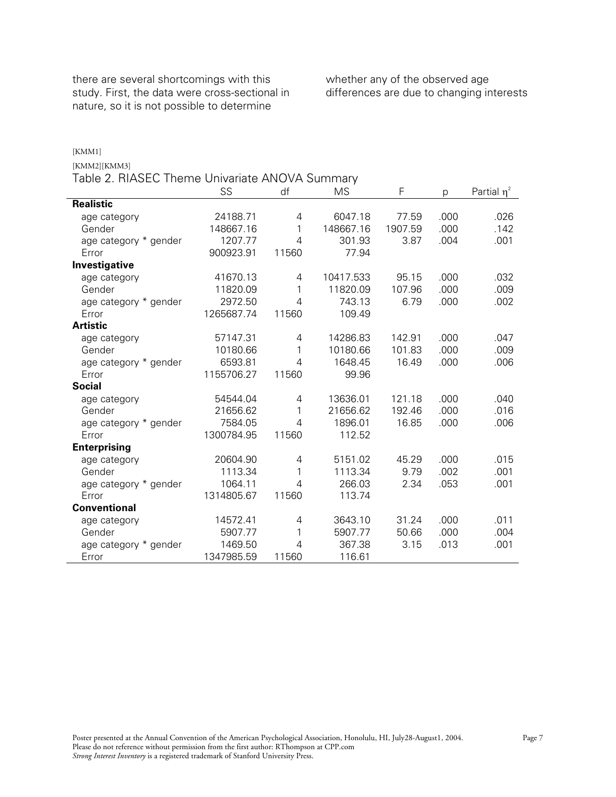there are several shortcomings with this study. First, the data were cross-sectional in nature, so it is not possible to determine

whether any of the observed age differences are due to changing interests

#### [KMM1]

[KMM2][KMM3]

## Table 2. RIASEC Theme Univariate ANOVA Summary

|                       | SS         | df    | <b>MS</b> | F       | p    | Partial $\eta^2$ |
|-----------------------|------------|-------|-----------|---------|------|------------------|
| <b>Realistic</b>      |            |       |           |         |      |                  |
| age category          | 24188.71   | 4     | 6047.18   | 77.59   | .000 | .026             |
| Gender                | 148667.16  | 1     | 148667.16 | 1907.59 | .000 | .142             |
| age category * gender | 1207.77    | 4     | 301.93    | 3.87    | .004 | .001             |
| Error                 | 900923.91  | 11560 | 77.94     |         |      |                  |
| Investigative         |            |       |           |         |      |                  |
| age category          | 41670.13   | 4     | 10417.533 | 95.15   | .000 | .032             |
| Gender                | 11820.09   | 1     | 11820.09  | 107.96  | .000 | .009             |
| age category * gender | 2972.50    | 4     | 743.13    | 6.79    | .000 | .002             |
| Error                 | 1265687.74 | 11560 | 109.49    |         |      |                  |
| <b>Artistic</b>       |            |       |           |         |      |                  |
| age category          | 57147.31   | 4     | 14286.83  | 142.91  | .000 | .047             |
| Gender                | 10180.66   | 1     | 10180.66  | 101.83  | .000 | .009             |
| age category * gender | 6593.81    | 4     | 1648.45   | 16.49   | .000 | .006             |
| Error                 | 1155706.27 | 11560 | 99.96     |         |      |                  |
| <b>Social</b>         |            |       |           |         |      |                  |
| age category          | 54544.04   | 4     | 13636.01  | 121.18  | .000 | .040             |
| Gender                | 21656.62   | 1     | 21656.62  | 192.46  | .000 | .016             |
| age category * gender | 7584.05    | 4     | 1896.01   | 16.85   | .000 | .006             |
| Error                 | 1300784.95 | 11560 | 112.52    |         |      |                  |
| <b>Enterprising</b>   |            |       |           |         |      |                  |
| age category          | 20604.90   | 4     | 5151.02   | 45.29   | .000 | .015             |
| Gender                | 1113.34    | 1     | 1113.34   | 9.79    | .002 | .001             |
| age category * gender | 1064.11    | 4     | 266.03    | 2.34    | .053 | .001             |
| Error                 | 1314805.67 | 11560 | 113.74    |         |      |                  |
| <b>Conventional</b>   |            |       |           |         |      |                  |
| age category          | 14572.41   | 4     | 3643.10   | 31.24   | .000 | .011             |
| Gender                | 5907.77    | 1     | 5907.77   | 50.66   | .000 | .004             |
| age category * gender | 1469.50    | 4     | 367.38    | 3.15    | .013 | .001             |
| Error                 | 1347985.59 | 11560 | 116.61    |         |      |                  |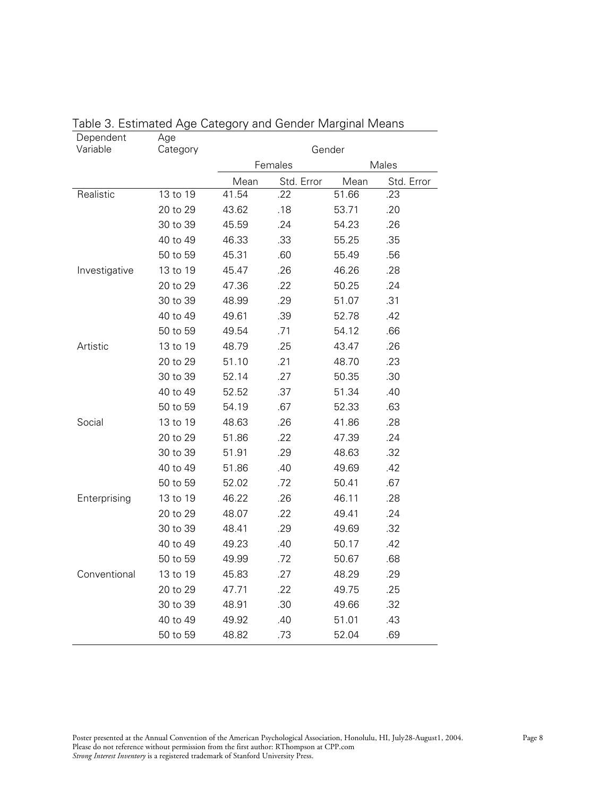| Dependent     | Age        |         |            |       |            |  |
|---------------|------------|---------|------------|-------|------------|--|
| Variable      | Category   | Gender  |            |       |            |  |
|               |            | Females |            | Males |            |  |
|               |            | Mean    | Std. Error | Mean  | Std. Error |  |
| Realistic     | 13 to $19$ | 41.54   | .22        | 51.66 | .23        |  |
|               | 20 to 29   | 43.62   | .18        | 53.71 | .20        |  |
|               | 30 to 39   | 45.59   | .24        | 54.23 | .26        |  |
|               | 40 to 49   | 46.33   | .33        | 55.25 | .35        |  |
|               | 50 to 59   | 45.31   | .60        | 55.49 | .56        |  |
| Investigative | 13 to 19   | 45.47   | .26        | 46.26 | .28        |  |
|               | 20 to 29   | 47.36   | .22        | 50.25 | .24        |  |
|               | 30 to 39   | 48.99   | .29        | 51.07 | .31        |  |
|               | 40 to 49   | 49.61   | .39        | 52.78 | .42        |  |
|               | 50 to 59   | 49.54   | .71        | 54.12 | .66        |  |
| Artistic      | 13 to 19   | 48.79   | .25        | 43.47 | .26        |  |
|               | 20 to 29   | 51.10   | .21        | 48.70 | .23        |  |
|               | 30 to 39   | 52.14   | .27        | 50.35 | .30        |  |
|               | 40 to 49   | 52.52   | .37        | 51.34 | .40        |  |
|               | 50 to 59   | 54.19   | .67        | 52.33 | .63        |  |
| Social        | 13 to 19   | 48.63   | .26        | 41.86 | .28        |  |
|               | 20 to 29   | 51.86   | .22        | 47.39 | .24        |  |
|               | 30 to 39   | 51.91   | .29        | 48.63 | .32        |  |
|               | 40 to 49   | 51.86   | .40        | 49.69 | .42        |  |
|               | 50 to 59   | 52.02   | .72        | 50.41 | .67        |  |
| Enterprising  | 13 to 19   | 46.22   | .26        | 46.11 | .28        |  |
|               | 20 to 29   | 48.07   | .22        | 49.41 | .24        |  |
|               | 30 to 39   | 48.41   | .29        | 49.69 | .32        |  |
|               | 40 to 49   | 49.23   | .40        | 50.17 | .42        |  |
|               | 50 to 59   | 49.99   | .72        | 50.67 | .68        |  |
| Conventional  | 13 to 19   | 45.83   | .27        | 48.29 | .29        |  |
|               | 20 to 29   | 47.71   | .22        | 49.75 | .25        |  |
|               | 30 to 39   | 48.91   | .30        | 49.66 | .32        |  |
|               | 40 to 49   | 49.92   | .40        | 51.01 | .43        |  |
|               | 50 to 59   | 48.82   | .73        | 52.04 | .69        |  |

Table 3. Estimated Age Category and Gender Marginal Means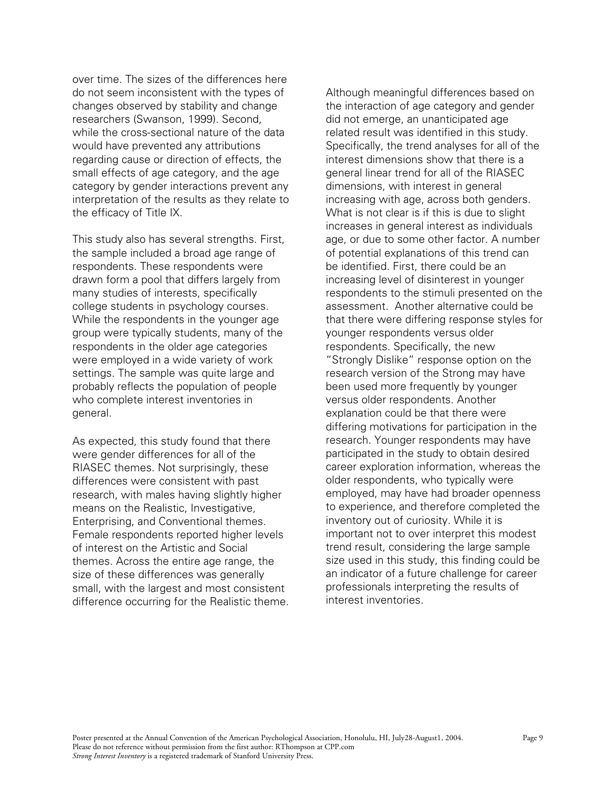over time. The sizes of the differences here do not seem inconsistent with the types of changes observed by stability and change researchers (Swanson, 1999). Second, while the cross-sectional nature of the data would have prevented any attributions regarding cause or direction of effects, the small effects of age category, and the age category by gender interactions prevent any interpretation of the results as they relate to the efficacy of Title IX.

This study also has several strengths. First, the sample included a broad age range of respondents. These respondents were drawn form a pool that differs largely from many studies of interests, specifically college students in psychology courses. While the respondents in the younger age group were typically students, many of the respondents in the older age categories were employed in a wide variety of work settings. The sample was quite large and probably reflects the population of people who complete interest inventories in general.

As expected, this study found that there were gender differences for all of the RIASEC themes. Not surprisingly, these differences were consistent with past research, with males having slightly higher means on the Realistic, Investigative, Enterprising, and Conventional themes. Female respondents reported higher levels of interest on the Artistic and Social themes. Across the entire age range, the size of these differences was generally small, with the largest and most consistent difference occurring for the Realistic theme.

Although meaningful differences based on the interaction of age category and gender did not emerge, an unanticipated age related result was identified in this study. Specifically, the trend analyses for all of the interest dimensions show that there is a general linear trend for all of the RIASEC dimensions, with interest in general increasing with age, across both genders. What is not clear is if this is due to slight increases in general interest as individuals age, or due to some other factor. A number of potential explanations of this trend can be identified. First, there could be an increasing level of disinterest in younger respondents to the stimuli presented on the assessment. Another alternative could be that there were differing response styles for younger respondents versus older respondents. Specifically, the new "Strongly Dislike" response option on the research version of the Strong may have been used more frequently by younger versus older respondents. Another explanation could be that there were differing motivations for participation in the research. Younger respondents may have participated in the study to obtain desired career exploration information, whereas the older respondents, who typically were employed, may have had broader openness to experience, and therefore completed the inventory out of curiosity. While it is important not to over interpret this modest trend result, considering the large sample size used in this study, this finding could be an indicator of a future challenge for career professionals interpreting the results of interest inventories.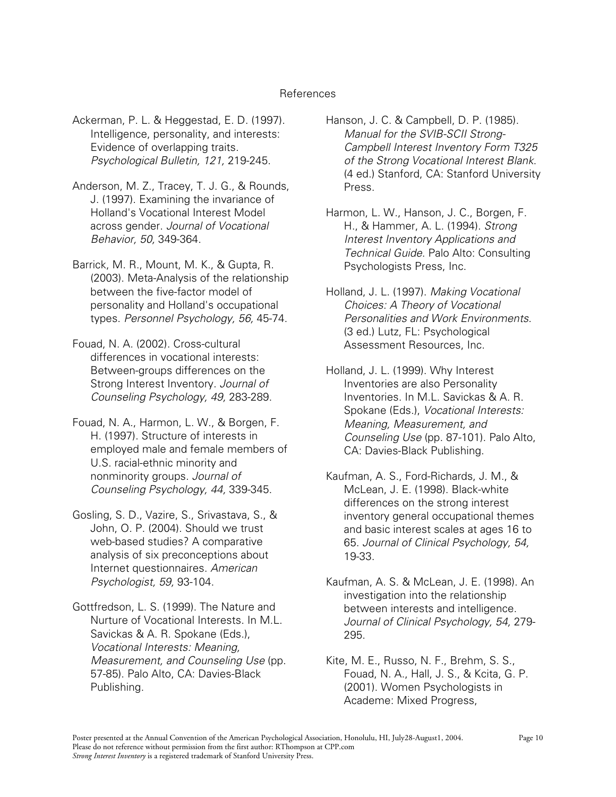#### References

Ackerman, P. L. & Heggestad, E. D. (1997). Intelligence, personality, and interests: Evidence of overlapping traits. *Psychological Bulletin, 121,* 219-245.

Anderson, M. Z., Tracey, T. J. G., & Rounds, J. (1997). Examining the invariance of Holland's Vocational Interest Model across gender. *Journal of Vocational Behavior, 50,* 349-364.

Barrick, M. R., Mount, M. K., & Gupta, R. (2003). Meta-Analysis of the relationship between the five-factor model of personality and Holland's occupational types. *Personnel Psychology, 56,* 45-74.

Fouad, N. A. (2002). Cross-cultural differences in vocational interests: Between-groups differences on the Strong Interest Inventory. *Journal of Counseling Psychology, 49,* 283-289.

Fouad, N. A., Harmon, L. W., & Borgen, F. H. (1997). Structure of interests in employed male and female members of U.S. racial-ethnic minority and nonminority groups. *Journal of Counseling Psychology, 44,* 339-345.

Gosling, S. D., Vazire, S., Srivastava, S., & John, O. P. (2004). Should we trust web-based studies? A comparative analysis of six preconceptions about Internet questionnaires. *American Psychologist, 59,* 93-104.

Gottfredson, L. S. (1999). The Nature and Nurture of Vocational Interests. In M.L. Savickas & A. R. Spokane (Eds.), *Vocational Interests: Meaning, Measurement, and Counseling Use* (pp. 57-85). Palo Alto, CA: Davies-Black Publishing.

Hanson, J. C. & Campbell, D. P. (1985). *Manual for the SVIB-SCII Strong-Campbell Interest Inventory Form T325 of the Strong Vocational Interest Blank*. (4 ed.) Stanford, CA: Stanford University Press.

Harmon, L. W., Hanson, J. C., Borgen, F. H., & Hammer, A. L. (1994). *Strong Interest Inventory Applications and Technical Guide*. Palo Alto: Consulting Psychologists Press, Inc.

Holland, J. L. (1997). *Making Vocational Choices: A Theory of Vocational Personalities and Work Environments*. (3 ed.) Lutz, FL: Psychological Assessment Resources, Inc.

Holland, J. L. (1999). Why Interest Inventories are also Personality Inventories. In M.L. Savickas & A. R. Spokane (Eds.), *Vocational Interests: Meaning, Measurement, and Counseling Use* (pp. 87-101). Palo Alto, CA: Davies-Black Publishing.

Kaufman, A. S., Ford-Richards, J. M., & McLean, J. E. (1998). Black-white differences on the strong interest inventory general occupational themes and basic interest scales at ages 16 to 65. *Journal of Clinical Psychology, 54,* 19-33.

Kaufman, A. S. & McLean, J. E. (1998). An investigation into the relationship between interests and intelligence. *Journal of Clinical Psychology, 54,* 279- 295.

Kite, M. E., Russo, N. F., Brehm, S. S., Fouad, N. A., Hall, J. S., & Kcita, G. P. (2001). Women Psychologists in Academe: Mixed Progress,